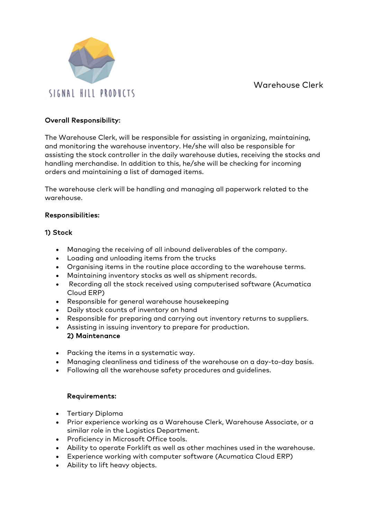

#### Overall Responsibility:

The Warehouse Clerk, will be responsible for assisting in organizing, maintaining, and monitoring the warehouse inventory. He/she will also be responsible for assisting the stock controller in the daily warehouse duties, receiving the stocks and handling merchandise. In addition to this, he/she will be checking for incoming orders and maintaining a list of damaged items.

The warehouse clerk will be handling and managing all paperwork related to the warehouse.

## Responsibilities:

## 1) Stock

- Managing the receiving of all inbound deliverables of the company.
- Loading and unloading items from the trucks
- Organising items in the routine place according to the warehouse terms.
- Maintaining inventory stocks as well as shipment records.
- Recording all the stock received using computerised software (Acumatica Cloud ERP)
- Responsible for general warehouse housekeeping
- Daily stock counts of inventory on hand
- Responsible for preparing and carrying out inventory returns to suppliers.
- Assisting in issuing inventory to prepare for production. 2) Maintenance
- Packing the items in a systematic way.
- Managing cleanliness and tidiness of the warehouse on a day-to-day basis.
- Following all the warehouse safety procedures and guidelines.

# Requirements:

- Tertiary Diploma
- Prior experience working as a Warehouse Clerk, Warehouse Associate, or a similar role in the Logistics Department.
- Proficiency in Microsoft Office tools.
- Ability to operate Forklift as well as other machines used in the warehouse.
- Experience working with computer software (Acumatica Cloud ERP)
- Ability to lift heavy objects.